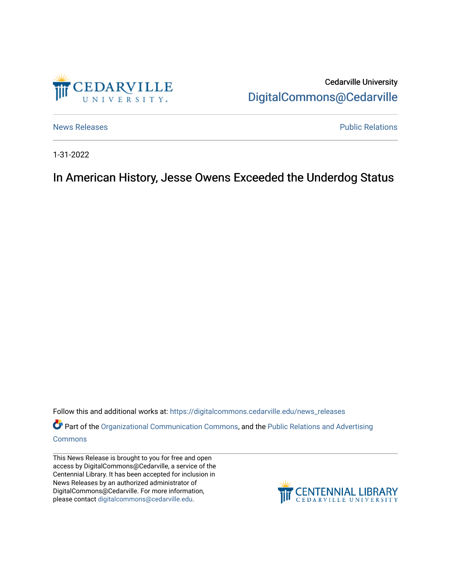

Cedarville University [DigitalCommons@Cedarville](https://digitalcommons.cedarville.edu/) 

[News Releases](https://digitalcommons.cedarville.edu/news_releases) **Public Relations Public Relations** 

1-31-2022

In American History, Jesse Owens Exceeded the Underdog Status

Follow this and additional works at: [https://digitalcommons.cedarville.edu/news\\_releases](https://digitalcommons.cedarville.edu/news_releases?utm_source=digitalcommons.cedarville.edu%2Fnews_releases%2F1489&utm_medium=PDF&utm_campaign=PDFCoverPages) 

Part of the [Organizational Communication Commons](http://network.bepress.com/hgg/discipline/335?utm_source=digitalcommons.cedarville.edu%2Fnews_releases%2F1489&utm_medium=PDF&utm_campaign=PDFCoverPages), and the [Public Relations and Advertising](http://network.bepress.com/hgg/discipline/336?utm_source=digitalcommons.cedarville.edu%2Fnews_releases%2F1489&utm_medium=PDF&utm_campaign=PDFCoverPages)  [Commons](http://network.bepress.com/hgg/discipline/336?utm_source=digitalcommons.cedarville.edu%2Fnews_releases%2F1489&utm_medium=PDF&utm_campaign=PDFCoverPages)

This News Release is brought to you for free and open access by DigitalCommons@Cedarville, a service of the Centennial Library. It has been accepted for inclusion in News Releases by an authorized administrator of DigitalCommons@Cedarville. For more information, please contact [digitalcommons@cedarville.edu](mailto:digitalcommons@cedarville.edu).

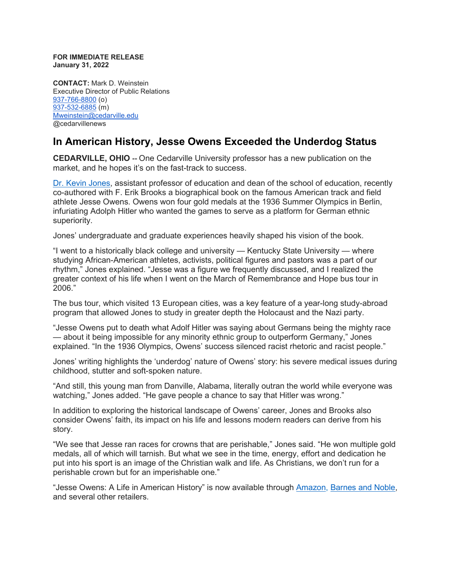**FOR IMMEDIATE RELEASE January 31, 2022**

**CONTACT:** Mark D. Weinstein Executive Director of Public Relations [937-766-8800](tel:937-766-8800) (o) [937-532-6885](tel:937-532-6885) (m) [Mweinstein@cedarville.edu](mailto:Mweinstein@cedarville.edu) @cedarvillenews

## **In American History, Jesse Owens Exceeded the Underdog Status**

**CEDARVILLE, OHIO --** One Cedarville University professor has a new publication on the market, and he hopes it's on the fast-track to success.

[Dr. Kevin Jones,](https://www.cedarville.edu/academic-schools-and-departments/education/undergraduate/faculty-staff/kevin-jones) assistant professor of education and dean of the school of education, recently co-authored with F. Erik Brooks a biographical book on the famous American track and field athlete Jesse Owens. Owens won four gold medals at the 1936 Summer Olympics in Berlin, infuriating Adolph Hitler who wanted the games to serve as a platform for German ethnic superiority.

Jones' undergraduate and graduate experiences heavily shaped his vision of the book.

"I went to a historically black college and university — Kentucky State University — where studying African-American athletes, activists, political figures and pastors was a part of our rhythm," Jones explained. "Jesse was a figure we frequently discussed, and I realized the greater context of his life when I went on the March of Remembrance and Hope bus tour in 2006."

The bus tour, which visited 13 European cities, was a key feature of a year-long study-abroad program that allowed Jones to study in greater depth the Holocaust and the Nazi party.

"Jesse Owens put to death what Adolf Hitler was saying about Germans being the mighty race — about it being impossible for any minority ethnic group to outperform Germany," Jones explained. "In the 1936 Olympics, Owens' success silenced racist rhetoric and racist people."

Jones' writing highlights the 'underdog' nature of Owens' story: his severe medical issues during childhood, stutter and soft-spoken nature.

"And still, this young man from Danville, Alabama, literally outran the world while everyone was watching," Jones added. "He gave people a chance to say that Hitler was wrong."

In addition to exploring the historical landscape of Owens' career, Jones and Brooks also consider Owens' faith, its impact on his life and lessons modern readers can derive from his story.

"We see that Jesse ran races for crowns that are perishable," Jones said. "He won multiple gold medals, all of which will tarnish. But what we see in the time, energy, effort and dedication he put into his sport is an image of the Christian walk and life. As Christians, we don't run for a perishable crown but for an imperishable one."

"Jesse Owens: A Life in American History" is now available through [Amazon,](https://www.amazon.com/Jesse-Owens-American-History-Black/dp/1440873828) [Barnes and Noble,](https://www.barnesandnoble.com/w/jesse-owens-f-erik-brooks/1133429172) and several other retailers.